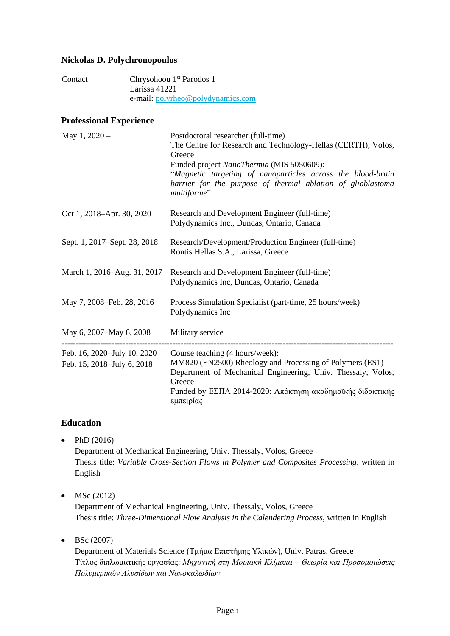## **Nickolas D. Polychronopoulos**

| Contact | Chrysohoou 1 <sup>st</sup> Parodos 1 |
|---------|--------------------------------------|
|         | Larissa 41221                        |
|         | e-mail: polyrheo@polydynamics.com    |

## **Professional Experience**

| May 1, 2020 -                                             | Postdoctoral researcher (full-time)<br>The Centre for Research and Technology-Hellas (CERTH), Volos,<br>Greece<br>Funded project NanoThermia (MIS 5050609):<br>"Magnetic targeting of nanoparticles across the blood-brain<br>barrier for the purpose of thermal ablation of glioblastoma<br>multiforme" |
|-----------------------------------------------------------|----------------------------------------------------------------------------------------------------------------------------------------------------------------------------------------------------------------------------------------------------------------------------------------------------------|
| Oct 1, 2018–Apr. 30, 2020                                 | Research and Development Engineer (full-time)<br>Polydynamics Inc., Dundas, Ontario, Canada                                                                                                                                                                                                              |
| Sept. 1, 2017–Sept. 28, 2018                              | Research/Development/Production Engineer (full-time)<br>Rontis Hellas S.A., Larissa, Greece                                                                                                                                                                                                              |
| March 1, 2016–Aug. 31, 2017                               | Research and Development Engineer (full-time)<br>Polydynamics Inc, Dundas, Ontario, Canada                                                                                                                                                                                                               |
| May 7, 2008–Feb. 28, 2016                                 | Process Simulation Specialist (part-time, 25 hours/week)<br>Polydynamics Inc                                                                                                                                                                                                                             |
| May 6, 2007–May 6, 2008                                   | Military service                                                                                                                                                                                                                                                                                         |
| Feb. 16, 2020–July 10, 2020<br>Feb. 15, 2018-July 6, 2018 | Course teaching (4 hours/week):<br>MM820 (EN2500) Rheology and Processing of Polymers (ES1)<br>Department of Mechanical Engineering, Univ. Thessaly, Volos,<br>Greece<br>Funded by ΕΣΠΑ 2014-2020: Απόκτηση ακαδημαϊκής διδακτικής<br>εμπειρίας                                                          |

## **Education**

- PhD (2016) Department of Mechanical Engineering, Univ. Thessaly, Volos, Greece Thesis title: *Variable Cross-Section Flows in Polymer and Composites Processing*, written in English
- MSc  $(2012)$

Department of Mechanical Engineering, Univ. Thessaly, Volos, Greece Thesis title: *Three-Dimensional Flow Analysis in the Calendering Process*, written in English

• BSc (2007)

Department of Materials Science (Τμήμα Επιστήμης Yλικών), Univ. Patras, Greece Τίτλος διπλωματικής εργασίας: *Μηχανική στη Μοριακή Κλίμακα – Θεωρία και Προσομοιώσεις Πολυμερικών Αλυσίδων και Νανοκαλωδίων*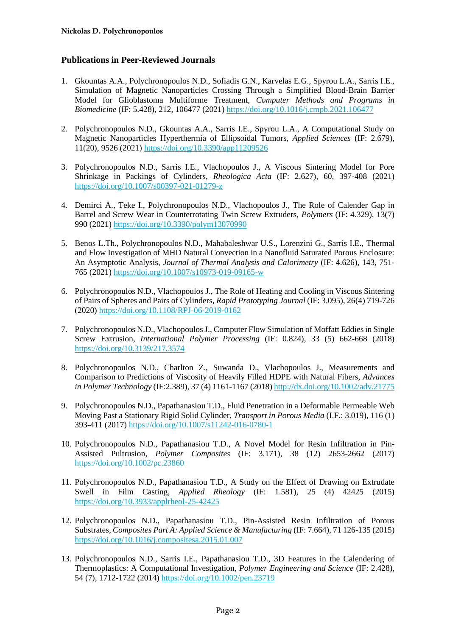## **Publications in Peer-Reviewed Journals**

- 1. Gkountas A.A., Polychronopoulos N.D., Sofiadis G.N., Karvelas E.G., Spyrou L.A., Sarris I.E., Simulation of Magnetic Nanoparticles Crossing Through a Simplified Blood-Brain Barrier Model for Glioblastoma Multiforme Treatment, *Computer Methods and Programs in Biomedicine* (IF: 5.428), 212, 106477 (2021[\) https://doi.org/10.1016/j.cmpb.2021.106477](https://doi.org/10.1016/j.cmpb.2021.106477)
- 2. Polychronopoulos N.D., Gkountas A.A., Sarris I.E., Spyrou L.A., A Computational Study on Magnetic Nanoparticles Hyperthermia of Ellipsoidal Tumors, *Applied Sciences* (IF: 2.679), 11(20), 9526 (2021)<https://doi.org/10.3390/app11209526>
- 3. Polychronopoulos N.D., Sarris I.E., Vlachopoulos J., A Viscous Sintering Model for Pore Shrinkage in Packings of Cylinders, *Rheologica Acta* (IF: 2.627), 60, 397-408 (2021) <https://doi.org/10.1007/s00397-021-01279-z>
- 4. Demirci A., Teke I., Polychronopoulos N.D., Vlachopoulos J., The Role of Calender Gap in Barrel and Screw Wear in Counterrotating Twin Screw Extruders, *Polymers* (IF: 4.329), 13(7) 990 (2021) <https://doi.org/10.3390/polym13070990>
- 5. Benos L.Th., Polychronopoulos N.D., Mahabaleshwar U.S., Lorenzini G., Sarris I.E., Thermal and Flow Investigation of MHD Natural Convection in a Nanofluid Saturated Porous Enclosure: An Asymptotic Analysis, *Journal of Thermal Analysis and Calorimetry* (IF: 4.626), 143, 751- 765 (2021) <https://doi.org/10.1007/s10973-019-09165-w>
- 6. Polychronopoulos N.D., Vlachopoulos J., The Role of Heating and Cooling in Viscous Sintering of Pairs of Spheres and Pairs of Cylinders, *Rapid Prototyping Journal* (IF: 3.095), 26(4) 719-726 (2020)<https://doi.org/10.1108/RPJ-06-2019-0162>
- 7. Polychronopoulos N.D., Vlachopoulos J.[, Computer Flow Simulation of Moffatt Eddies in Single](https://www.hanser-elibrary.com/doi/abs/10.3139/217.3574)  [Screw Extrusion,](https://www.hanser-elibrary.com/doi/abs/10.3139/217.3574) *International Polymer Processing* (IF: 0.824), 33 (5) 662-668 (2018) <https://doi.org/10.3139/217.3574>
- 8. Polychronopoulos N.D., Charlton Z., Suwanda D., Vlachopoulos J., [Measurements and](https://onlinelibrary.wiley.com/doi/abs/10.1002/adv.21775)  [Comparison to Predictions of Viscosity of Heavily Filled HDPE with Natural Fibers,](https://onlinelibrary.wiley.com/doi/abs/10.1002/adv.21775) *Advances in Polymer Technology* (IF:2.389), 37 (4) 1161-1167 (2018) <http://dx.doi.org/10.1002/adv.21775>
- 9. Polychronopoulos N.D., Papathanasiou T.D., [Fluid Penetration in a Deformable Permeable Web](https://link.springer.com/article/10.1007/s11242-016-0780-1)  [Moving Past a Stationary Rigid Solid Cylinder,](https://link.springer.com/article/10.1007/s11242-016-0780-1) *Transport in Porous Media* (I.F.: 3.019), 116 (1) 393-411 (2017) <https://doi.org/10.1007/s11242-016-0780-1>
- 10. Polychronopoulos N.D., Papathanasiou T.D., [A Novel Model for Resin Infiltration in Pin-](https://onlinelibrary.wiley.com/doi/abs/10.1002/pc.23860)[Assisted Pultrusion,](https://onlinelibrary.wiley.com/doi/abs/10.1002/pc.23860) *Polymer Composites* (IF: 3.171), 38 (12) 2653-2662 (2017) <https://doi.org/10.1002/pc.23860>
- 11. Polychronopoulos N.D., Papathanasiou T.D., [A Study on the Effect of Drawing on Extrudate](http://www.ar.ethz.ch/cgi-bin/AR/view?DOI=10.3933/ApplRheol-25-42425)  [Swell in Film Casting,](http://www.ar.ethz.ch/cgi-bin/AR/view?DOI=10.3933/ApplRheol-25-42425) *Applied Rheology* (IF: 1.581), 25 (4) 42425 (2015) <https://doi.org/10.3933/applrheol-25-42425>
- 12. Polychronopoulos N.D., Papathanasiou T.D., [Pin-Assisted Resin Infiltration of Porous](https://www.sciencedirect.com/science/article/pii/S1359835X15000184)  [Substrates,](https://www.sciencedirect.com/science/article/pii/S1359835X15000184) *Composites Part A: Applied Science & Manufacturing* (IF: 7.664), 71 126-135 (2015) <https://doi.org/10.1016/j.compositesa.2015.01.007>
- 13. Polychronopoulos N.D., Sarris I.E., Papathanasiou T.D., 3D Features [in the Calendering of](https://onlinelibrary.wiley.com/doi/abs/10.1002/pen.23719)  [Thermoplastics: A Computational Investigation,](https://onlinelibrary.wiley.com/doi/abs/10.1002/pen.23719) *Polymer Engineering and Science* (IF: 2.428), 54 (7), 1712-1722 (2014) <https://doi.org/10.1002/pen.23719>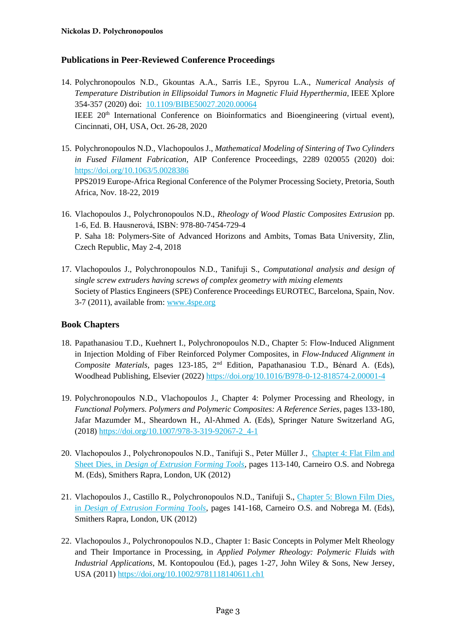## **Publications in Peer-Reviewed Conference Proceedings**

- 14. Polychronopoulos N.D., Gkountas A.A., Sarris I.E., Spyrou L.A., *Numerical Analysis of Temperature Distribution in Ellipsoidal Tumors in Magnetic Fluid Hyperthermia*, IEEE Xplore 354-357 (2020) doi: [10.1109/BIBE50027.2020.00064](https://doi.org/10.1109/BIBE50027.2020.00064) IEEE 20th International Conference on Bioinformatics and Bioengineering (virtual event), Cincinnati, OH, USA, Oct. 26-28, 2020
- 15. Polychronopoulos N.D., Vlachopoulos J., *Mathematical Modeling of Sintering of Two Cylinders in Fused Filament Fabrication*, AIP Conference Proceedings, 2289 020055 (2020) doi: <https://doi.org/10.1063/5.0028386> PPS2019 Europe-Africa Regional Conference of the Polymer Processing Society, Pretoria, South Africa, Nov. 18-22, 2019
- 16. Vlachopoulos J., Polychronopoulos N.D., *Rheology of Wood Plastic Composites Extrusion* pp. 1-6, Ed. B. Hausnerová, ISBN: 978-80-7454-729-4 P. Saha 18: Polymers-Site of Advanced Horizons and Ambits, Tomas Bata University, Zlin, Czech Republic, May 2-4, 2018
- 17. Vlachopoulos J., Polychronopoulos N.D., Tanifuji S., *Computational analysis and design of single screw extruders having screws of complex geometry with mixing elements* Society of Plastics Engineers (SPE) Conference Proceedings EUROTEC, Barcelona, Spain, Nov. 3-7 (2011), available from: [www.4spe.org](http://www.4spe.org/)

## **Book Chapters**

- 18. Papathanasiou T.D., Kuehnert I., Polychronopoulos N.D., Chapter 5: Flow-Induced Alignment in Injection Molding of Fiber Reinforced Polymer Composites, in *Flow-Induced Alignment in*  Composite Materials, pages 123-185, 2<sup>nd</sup> Edition, Papathanasiou T.D., Bénard A. (Eds), Woodhead Publishing, Elsevier (2022)<https://doi.org/10.1016/B978-0-12-818574-2.00001-4>
- 19. Polychronopoulos N.D., Vlachopoulos J., Chapter 4: Polymer Processing and Rheology, in *Functional Polymers. Polymers and Polymeric Composites: A Reference Series*, pages 133-180, Jafar Mazumder M., Sheardown H., Al-Ahmed A. (Eds), Springer Nature Switzerland AG, (2018) [https://doi.org/10.1007/978-3-319-92067-2\\_4-1](https://doi.org/10.1007/978-3-319-92067-2_4-1)
- 20. Vlachopoulos J., Polychronopoulos N.D., Tanifuji S., Peter Müller J., [Chapter 4: Flat Film and](https://www.researchgate.net/publication/273062096_Flat_Film_and_Sheet_Dies?channel=doi&linkId=5519756d0cf2f51a6fe8f99f&showFulltext=true)  Sheet Dies, in *[Design of Extrusion Forming Tools](https://www.researchgate.net/publication/273062096_Flat_Film_and_Sheet_Dies?channel=doi&linkId=5519756d0cf2f51a6fe8f99f&showFulltext=true)*, pages 113-140, Carneiro O.S. and Nobrega M. (Εds), Smithers Rapra, London, UK (2012)
- 21. Vlachopoulos J., Castillo R., Polychronopoulos N.D., Tanifuji S., [Chapter 5: Blown Film Dies,](https://www.researchgate.net/profile/Nickolas_Polychronopoulos/publication/273062314_Blown_Film_Dies/links/5519769e0cf2f51a6fe90beb/Blown-Film-Dies.pdf)  in *[Design of Extrusion Forming Tools](https://www.researchgate.net/profile/Nickolas_Polychronopoulos/publication/273062314_Blown_Film_Dies/links/5519769e0cf2f51a6fe90beb/Blown-Film-Dies.pdf)*, pages 141-168, Carneiro O.S. and Nobrega M. (Εds), Smithers Rapra, London, UK (2012)
- 22. Vlachopoulos J., Polychronopoulos N.D., Chapter 1: Basic Concepts in Polymer Melt Rheology and Their Importance in Processing, in *Applied Polymer Rheology: Polymeric Fluids with Industrial Applications*, M. Kontopoulou (Εd.), pages 1-27, John Wiley & Sons, New Jersey, USA (2011) <https://doi.org/10.1002/9781118140611.ch1>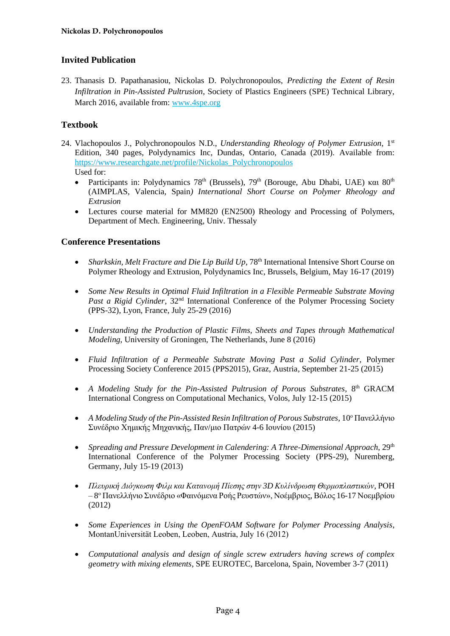# **Invited Publication**

23. Thanasis D. Papathanasiou, Nickolas D. Polychronopoulos, *Predicting the Extent of Resin Infiltration in Pin-Assisted Pultrusion*, Society of Plastics Engineers (SPE) Technical Library, March 2016, available from: [www.4spe.org](http://www.4spe.org/)

# **Textbook**

- 24. Vlachopoulos J., Polychronopoulos N.D., *Understanding Rheology of Polymer Extrusion*, 1st Edition, 340 pages, Polydynamics Inc, Dundas, Ontario, Canada (2019). Available from: [https://www.researchgate.net/profile/Nickolas\\_Polychronopoulos](https://www.researchgate.net/profile/Nickolas_Polychronopoulos)  Used for:
	- Participants in: Polydynamics  $78<sup>th</sup>$  (Brussels),  $79<sup>th</sup>$  (Borouge, Abu Dhabi, UAE) και  $80<sup>th</sup>$ (AIMPLAS, Valencia, Spain*) International Short Course on Polymer Rheology and Extrusion*
	- Lectures course material for MM820 (EN2500) Rheology and Processing of Polymers, Department of Mech. Engineering, Univ. Thessaly

## **Conference Presentations**

- *Sharkskin, Melt Fracture and Die Lip Build Up*, 78th International Intensive Short Course on Polymer Rheology and Extrusion, Polydynamics Inc, Brussels, Belgium, May 16-17 (2019)
- *Some New Results in Optimal Fluid Infiltration in a Flexible Permeable Substrate Moving Past a Rigid Cylinder*, 32nd International Conference of the Polymer Processing Society (PPS-32), Lyon, France, July 25-29 (2016)
- *Understanding the Production of Plastic Films, Sheets and Tapes through Mathematical Modeling*, University of Groningen, The Netherlands, June 8 (2016)
- *Fluid Infiltration of a Permeable Substrate Moving Past a Solid Cylinder*, Polymer Processing Society Conference 2015 (PPS2015), Graz, Austria, September 21-25 (2015)
- *A Modeling Study for the Pin-Assisted Pultrusion of Porous Substrates*, 8<sup>th</sup> GRACM International Congress on Computational Mechanics, Volos, July 12-15 (2015)
- *A Modeling Study of the Pin-Assisted Resin Infiltration of Porous Substrates*, 10<sup>o</sup> Πανελλήνιο Συνέδριο Χημικής Μηχανικής, Παν/μιο Πατρών 4-6 Ιουνίου (2015)
- *Spreading and Pressure Development in Calendering: A Three-Dimensional Approach*, 29th International Conference of the Polymer Processing Society (PPS-29), Nuremberg, Germany, July 15-19 (2013)
- *Πλευρική Διόγκωση Φιλμ και Κατανομή Πίεσης στην 3D Κυλίνδρωση Θερμοπλαστικών*, ΡΟΗ – 8 <sup>ο</sup> Πανελλήνιο Συνέδριο «Φαινόμενα Ροής Ρευστών», Νοέμβριος, Βόλος 16-17 Νοεμβρίου (2012)
- *Some Experiences in Using the OpenFOAM Software for Polymer Processing Analysis*, MontanUniversität Leoben, Leoben, Austria, July 16 (2012)
- *Computational analysis and design of single screw extruders having screws of complex geometry with mixing elements*, SPE EUROTEC, Barcelona, Spain, November 3-7 (2011)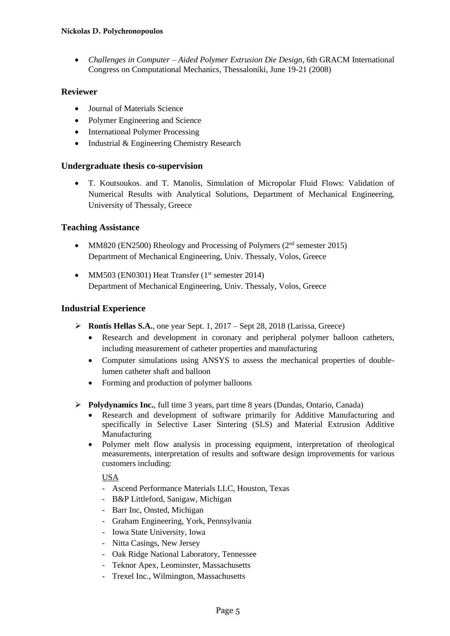#### Nickolas D. Polychronopoulos

• *Challenges in Computer – Aided Polymer Extrusion Die Design*, 6th GRACM International Congress on Computational Mechanics, Thessaloniki, June 19-21 (2008)

## **Reviewer**

- Journal of Materials Science
- Polymer Engineering and Science
- International Polymer Processing
- Industrial & Engineering Chemistry Research

### **Undergraduate thesis co-supervision**

• T. Koutsoukos. and T. Manolis, Simulation of Micropolar Fluid Flows: Validation of Numerical Results with Analytical Solutions, Department of Mechanical Engineering, University of Thessaly, Greece

## **Teaching Assistance**

- MM820 (EN2500) Rheology and Processing of Polymers ( $2<sup>nd</sup>$  semester 2015) Department of Mechanical Engineering, Univ. Thessaly, Volos, Greece
- MM503 (EN0301) Heat Transfer (1<sup>st</sup> semester 2014) Department of Mechanical Engineering, Univ. Thessaly, Volos, Greece

### **Industrial Experience**

- ➢ **Rontis Hellas S.A.**, one year Sept. 1, 2017 Sept 28, 2018 (Larissa, Greece)
	- Research and development in coronary and peripheral polymer balloon catheters, including measurement of catheter properties and manufacturing
	- Computer simulations using ANSYS to assess the mechanical properties of doublelumen catheter shaft and balloon
	- Forming and production of polymer balloons
- ➢ **Polydynamics Inc.**, full time 3 years, part time 8 years (Dundas, Ontario, Canada)
	- Research and development of software primarily for Additive Manufacturing and specifically in Selective Laser Sintering (SLS) and Material Extrusion Additive Manufacturing
	- Polymer melt flow analysis in processing equipment, interpretation of rheological measurements, interpretation of results and software design improvements for various customers including:

#### USA

- Ascend Performance Materials LLC, Houston, Texas
- B&P Littleford, Sanigaw, Michigan
- Barr Inc, Onsted, Michigan
- Graham Engineering, York, Pennsylvania
- Iowa State University, Iowa
- Nitta Casings, New Jersey
- Oak Ridge National Laboratory, Tennessee
- Teknor Apex, Leominster, Massachusetts
- Trexel Inc., Wilmington, Massachusetts